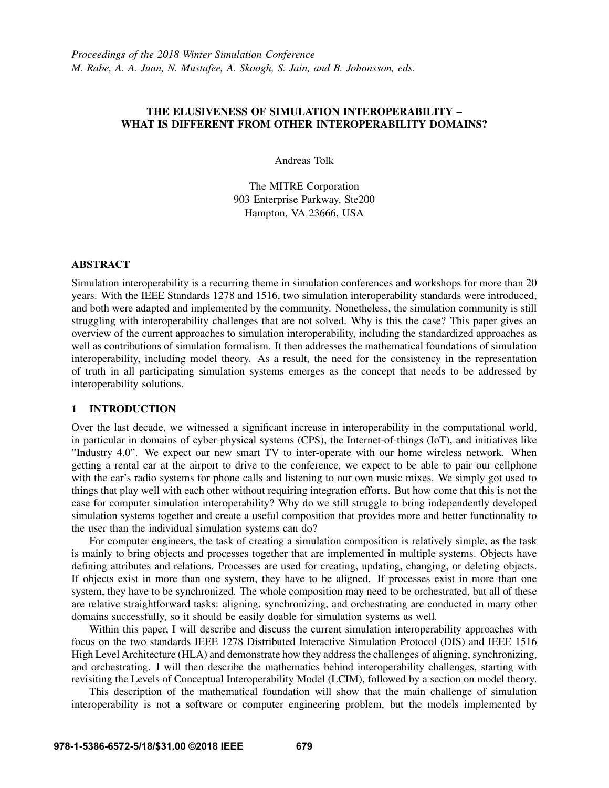# THE ELUSIVENESS OF SIMULATION INTEROPERABILITY – WHAT IS DIFFERENT FROM OTHER INTEROPERABILITY DOMAINS?

Andreas Tolk

The MITRE Corporation 903 Enterprise Parkway, Ste200 Hampton, VA 23666, USA

### ABSTRACT

Simulation interoperability is a recurring theme in simulation conferences and workshops for more than 20 years. With the IEEE Standards 1278 and 1516, two simulation interoperability standards were introduced, and both were adapted and implemented by the community. Nonetheless, the simulation community is still struggling with interoperability challenges that are not solved. Why is this the case? This paper gives an overview of the current approaches to simulation interoperability, including the standardized approaches as well as contributions of simulation formalism. It then addresses the mathematical foundations of simulation interoperability, including model theory. As a result, the need for the consistency in the representation of truth in all participating simulation systems emerges as the concept that needs to be addressed by interoperability solutions.

# 1 INTRODUCTION

Over the last decade, we witnessed a significant increase in interoperability in the computational world, in particular in domains of cyber-physical systems (CPS), the Internet-of-things (IoT), and initiatives like "Industry 4.0". We expect our new smart TV to inter-operate with our home wireless network. When getting a rental car at the airport to drive to the conference, we expect to be able to pair our cellphone with the car's radio systems for phone calls and listening to our own music mixes. We simply got used to things that play well with each other without requiring integration efforts. But how come that this is not the case for computer simulation interoperability? Why do we still struggle to bring independently developed simulation systems together and create a useful composition that provides more and better functionality to the user than the individual simulation systems can do?

For computer engineers, the task of creating a simulation composition is relatively simple, as the task is mainly to bring objects and processes together that are implemented in multiple systems. Objects have defining attributes and relations. Processes are used for creating, updating, changing, or deleting objects. If objects exist in more than one system, they have to be aligned. If processes exist in more than one system, they have to be synchronized. The whole composition may need to be orchestrated, but all of these are relative straightforward tasks: aligning, synchronizing, and orchestrating are conducted in many other domains successfully, so it should be easily doable for simulation systems as well.

Within this paper, I will describe and discuss the current simulation interoperability approaches with focus on the two standards IEEE 1278 Distributed Interactive Simulation Protocol (DIS) and IEEE 1516 High Level Architecture (HLA) and demonstrate how they address the challenges of aligning, synchronizing, and orchestrating. I will then describe the mathematics behind interoperability challenges, starting with revisiting the Levels of Conceptual Interoperability Model (LCIM), followed by a section on model theory.

This description of the mathematical foundation will show that the main challenge of simulation interoperability is not a software or computer engineering problem, but the models implemented by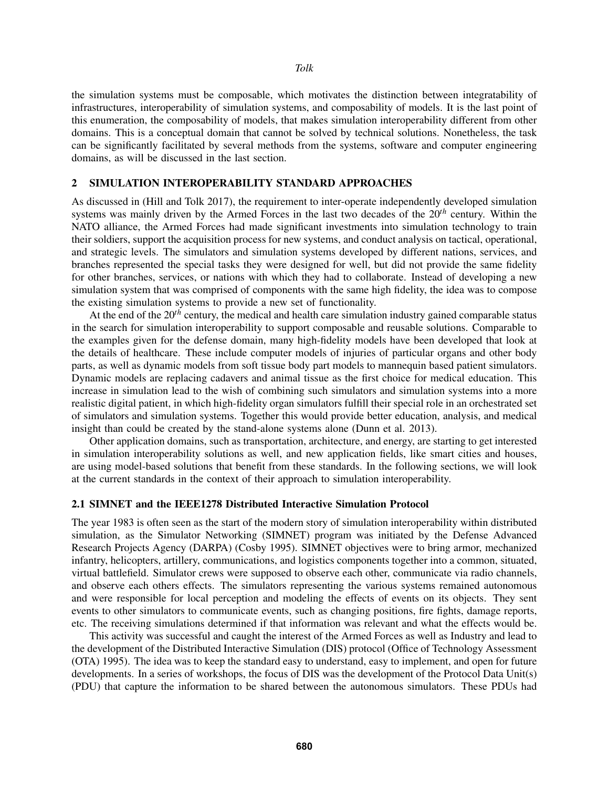the simulation systems must be composable, which motivates the distinction between integratability of infrastructures, interoperability of simulation systems, and composability of models. It is the last point of this enumeration, the composability of models, that makes simulation interoperability different from other domains. This is a conceptual domain that cannot be solved by technical solutions. Nonetheless, the task can be significantly facilitated by several methods from the systems, software and computer engineering domains, as will be discussed in the last section.

## 2 SIMULATION INTEROPERABILITY STANDARD APPROACHES

As discussed in (Hill and Tolk 2017), the requirement to inter-operate independently developed simulation systems was mainly driven by the Armed Forces in the last two decades of the 20*th* century. Within the NATO alliance, the Armed Forces had made significant investments into simulation technology to train their soldiers, support the acquisition process for new systems, and conduct analysis on tactical, operational, and strategic levels. The simulators and simulation systems developed by different nations, services, and branches represented the special tasks they were designed for well, but did not provide the same fidelity for other branches, services, or nations with which they had to collaborate. Instead of developing a new simulation system that was comprised of components with the same high fidelity, the idea was to compose the existing simulation systems to provide a new set of functionality.

At the end of the 20*th* century, the medical and health care simulation industry gained comparable status in the search for simulation interoperability to support composable and reusable solutions. Comparable to the examples given for the defense domain, many high-fidelity models have been developed that look at the details of healthcare. These include computer models of injuries of particular organs and other body parts, as well as dynamic models from soft tissue body part models to mannequin based patient simulators. Dynamic models are replacing cadavers and animal tissue as the first choice for medical education. This increase in simulation lead to the wish of combining such simulators and simulation systems into a more realistic digital patient, in which high-fidelity organ simulators fulfill their special role in an orchestrated set of simulators and simulation systems. Together this would provide better education, analysis, and medical insight than could be created by the stand-alone systems alone (Dunn et al. 2013).

Other application domains, such as transportation, architecture, and energy, are starting to get interested in simulation interoperability solutions as well, and new application fields, like smart cities and houses, are using model-based solutions that benefit from these standards. In the following sections, we will look at the current standards in the context of their approach to simulation interoperability.

#### 2.1 SIMNET and the IEEE1278 Distributed Interactive Simulation Protocol

The year 1983 is often seen as the start of the modern story of simulation interoperability within distributed simulation, as the Simulator Networking (SIMNET) program was initiated by the Defense Advanced Research Projects Agency (DARPA) (Cosby 1995). SIMNET objectives were to bring armor, mechanized infantry, helicopters, artillery, communications, and logistics components together into a common, situated, virtual battlefield. Simulator crews were supposed to observe each other, communicate via radio channels, and observe each others effects. The simulators representing the various systems remained autonomous and were responsible for local perception and modeling the effects of events on its objects. They sent events to other simulators to communicate events, such as changing positions, fire fights, damage reports, etc. The receiving simulations determined if that information was relevant and what the effects would be.

This activity was successful and caught the interest of the Armed Forces as well as Industry and lead to the development of the Distributed Interactive Simulation (DIS) protocol (Office of Technology Assessment (OTA) 1995). The idea was to keep the standard easy to understand, easy to implement, and open for future developments. In a series of workshops, the focus of DIS was the development of the Protocol Data Unit(s) (PDU) that capture the information to be shared between the autonomous simulators. These PDUs had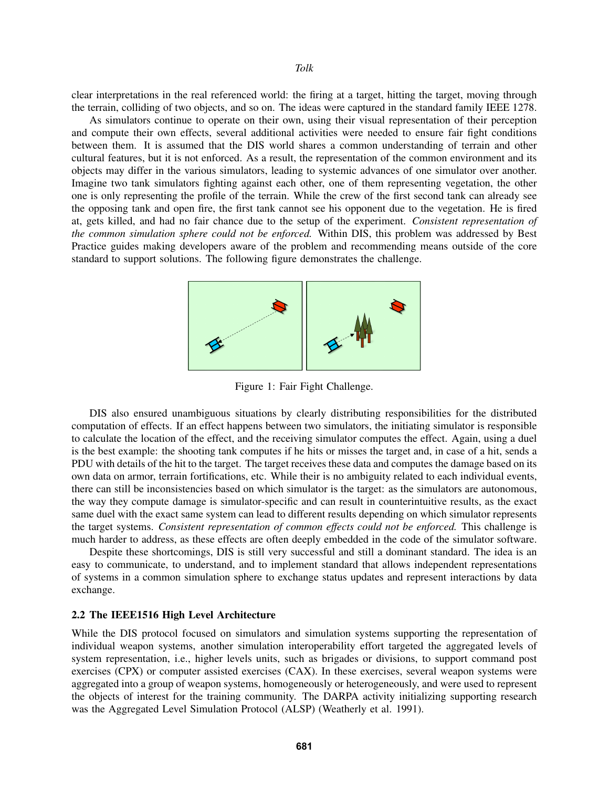#### *Tolk*

clear interpretations in the real referenced world: the firing at a target, hitting the target, moving through the terrain, colliding of two objects, and so on. The ideas were captured in the standard family IEEE 1278.

As simulators continue to operate on their own, using their visual representation of their perception and compute their own effects, several additional activities were needed to ensure fair fight conditions between them. It is assumed that the DIS world shares a common understanding of terrain and other cultural features, but it is not enforced. As a result, the representation of the common environment and its objects may differ in the various simulators, leading to systemic advances of one simulator over another. Imagine two tank simulators fighting against each other, one of them representing vegetation, the other one is only representing the profile of the terrain. While the crew of the first second tank can already see the opposing tank and open fire, the first tank cannot see his opponent due to the vegetation. He is fired at, gets killed, and had no fair chance due to the setup of the experiment. *Consistent representation of the common simulation sphere could not be enforced.* Within DIS, this problem was addressed by Best Practice guides making developers aware of the problem and recommending means outside of the core standard to support solutions. The following figure demonstrates the challenge.



Figure 1: Fair Fight Challenge.

DIS also ensured unambiguous situations by clearly distributing responsibilities for the distributed computation of effects. If an effect happens between two simulators, the initiating simulator is responsible to calculate the location of the effect, and the receiving simulator computes the effect. Again, using a duel is the best example: the shooting tank computes if he hits or misses the target and, in case of a hit, sends a PDU with details of the hit to the target. The target receives these data and computes the damage based on its own data on armor, terrain fortifications, etc. While their is no ambiguity related to each individual events, there can still be inconsistencies based on which simulator is the target: as the simulators are autonomous, the way they compute damage is simulator-specific and can result in counterintuitive results, as the exact same duel with the exact same system can lead to different results depending on which simulator represents the target systems. *Consistent representation of common effects could not be enforced.* This challenge is much harder to address, as these effects are often deeply embedded in the code of the simulator software.

Despite these shortcomings, DIS is still very successful and still a dominant standard. The idea is an easy to communicate, to understand, and to implement standard that allows independent representations of systems in a common simulation sphere to exchange status updates and represent interactions by data exchange.

## 2.2 The IEEE1516 High Level Architecture

While the DIS protocol focused on simulators and simulation systems supporting the representation of individual weapon systems, another simulation interoperability effort targeted the aggregated levels of system representation, i.e., higher levels units, such as brigades or divisions, to support command post exercises (CPX) or computer assisted exercises (CAX). In these exercises, several weapon systems were aggregated into a group of weapon systems, homogeneously or heterogeneously, and were used to represent the objects of interest for the training community. The DARPA activity initializing supporting research was the Aggregated Level Simulation Protocol (ALSP) (Weatherly et al. 1991).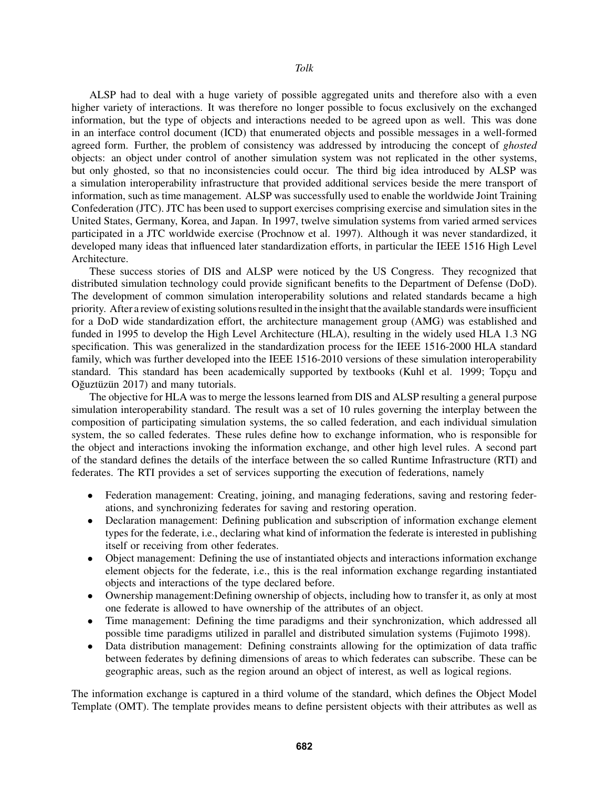ALSP had to deal with a huge variety of possible aggregated units and therefore also with a even higher variety of interactions. It was therefore no longer possible to focus exclusively on the exchanged information, but the type of objects and interactions needed to be agreed upon as well. This was done in an interface control document (ICD) that enumerated objects and possible messages in a well-formed agreed form. Further, the problem of consistency was addressed by introducing the concept of *ghosted* objects: an object under control of another simulation system was not replicated in the other systems, but only ghosted, so that no inconsistencies could occur. The third big idea introduced by ALSP was a simulation interoperability infrastructure that provided additional services beside the mere transport of information, such as time management. ALSP was successfully used to enable the worldwide Joint Training Confederation (JTC). JTC has been used to support exercises comprising exercise and simulation sites in the United States, Germany, Korea, and Japan. In 1997, twelve simulation systems from varied armed services participated in a JTC worldwide exercise (Prochnow et al. 1997). Although it was never standardized, it developed many ideas that influenced later standardization efforts, in particular the IEEE 1516 High Level Architecture.

These success stories of DIS and ALSP were noticed by the US Congress. They recognized that distributed simulation technology could provide significant benefits to the Department of Defense (DoD). The development of common simulation interoperability solutions and related standards became a high priority. After a review of existing solutions resulted in the insight that the available standards were insufficient for a DoD wide standardization effort, the architecture management group (AMG) was established and funded in 1995 to develop the High Level Architecture (HLA), resulting in the widely used HLA 1.3 NG specification. This was generalized in the standardization process for the IEEE 1516-2000 HLA standard family, which was further developed into the IEEE 1516-2010 versions of these simulation interoperability standard. This standard has been academically supported by textbooks (Kuhl et al. 1999; Topcu and Oğuztüzün 2017) and many tutorials.

The objective for HLA was to merge the lessons learned from DIS and ALSP resulting a general purpose simulation interoperability standard. The result was a set of 10 rules governing the interplay between the composition of participating simulation systems, the so called federation, and each individual simulation system, the so called federates. These rules define how to exchange information, who is responsible for the object and interactions invoking the information exchange, and other high level rules. A second part of the standard defines the details of the interface between the so called Runtime Infrastructure (RTI) and federates. The RTI provides a set of services supporting the execution of federations, namely

- Federation management: Creating, joining, and managing federations, saving and restoring federations, and synchronizing federates for saving and restoring operation.
- Declaration management: Defining publication and subscription of information exchange element types for the federate, i.e., declaring what kind of information the federate is interested in publishing itself or receiving from other federates.
- Object management: Defining the use of instantiated objects and interactions information exchange element objects for the federate, i.e., this is the real information exchange regarding instantiated objects and interactions of the type declared before.
- Ownership management:Defining ownership of objects, including how to transfer it, as only at most one federate is allowed to have ownership of the attributes of an object.
- Time management: Defining the time paradigms and their synchronization, which addressed all possible time paradigms utilized in parallel and distributed simulation systems (Fujimoto 1998).
- Data distribution management: Defining constraints allowing for the optimization of data traffic between federates by defining dimensions of areas to which federates can subscribe. These can be geographic areas, such as the region around an object of interest, as well as logical regions.

The information exchange is captured in a third volume of the standard, which defines the Object Model Template (OMT). The template provides means to define persistent objects with their attributes as well as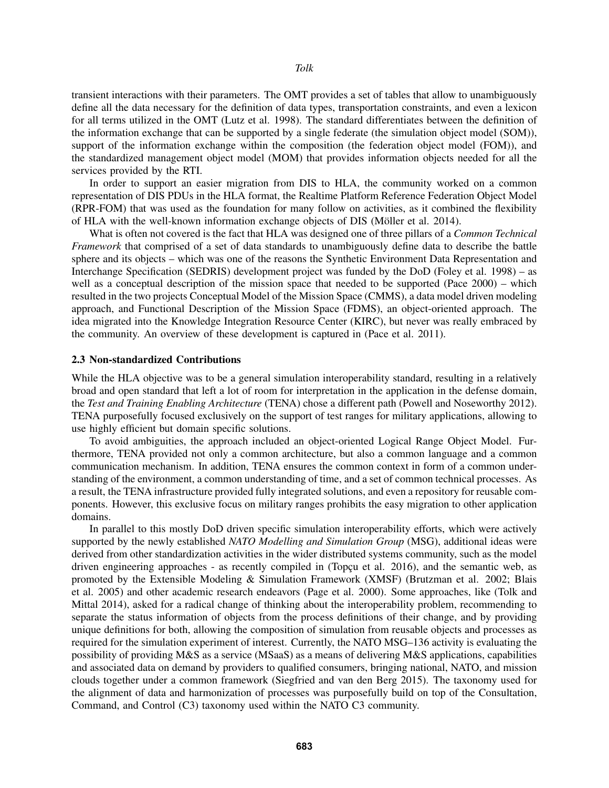transient interactions with their parameters. The OMT provides a set of tables that allow to unambiguously define all the data necessary for the definition of data types, transportation constraints, and even a lexicon for all terms utilized in the OMT (Lutz et al. 1998). The standard differentiates between the definition of the information exchange that can be supported by a single federate (the simulation object model (SOM)), support of the information exchange within the composition (the federation object model (FOM)), and the standardized management object model (MOM) that provides information objects needed for all the services provided by the RTI.

In order to support an easier migration from DIS to HLA, the community worked on a common representation of DIS PDUs in the HLA format, the Realtime Platform Reference Federation Object Model (RPR-FOM) that was used as the foundation for many follow on activities, as it combined the flexibility of HLA with the well-known information exchange objects of DIS (Möller et al. 2014).

What is often not covered is the fact that HLA was designed one of three pillars of a *Common Technical Framework* that comprised of a set of data standards to unambiguously define data to describe the battle sphere and its objects – which was one of the reasons the Synthetic Environment Data Representation and Interchange Specification (SEDRIS) development project was funded by the DoD (Foley et al. 1998) – as well as a conceptual description of the mission space that needed to be supported (Pace 2000) – which resulted in the two projects Conceptual Model of the Mission Space (CMMS), a data model driven modeling approach, and Functional Description of the Mission Space (FDMS), an object-oriented approach. The idea migrated into the Knowledge Integration Resource Center (KIRC), but never was really embraced by the community. An overview of these development is captured in (Pace et al. 2011).

### 2.3 Non-standardized Contributions

While the HLA objective was to be a general simulation interoperability standard, resulting in a relatively broad and open standard that left a lot of room for interpretation in the application in the defense domain, the *Test and Training Enabling Architecture* (TENA) chose a different path (Powell and Noseworthy 2012). TENA purposefully focused exclusively on the support of test ranges for military applications, allowing to use highly efficient but domain specific solutions.

To avoid ambiguities, the approach included an object-oriented Logical Range Object Model. Furthermore, TENA provided not only a common architecture, but also a common language and a common communication mechanism. In addition, TENA ensures the common context in form of a common understanding of the environment, a common understanding of time, and a set of common technical processes. As a result, the TENA infrastructure provided fully integrated solutions, and even a repository for reusable components. However, this exclusive focus on military ranges prohibits the easy migration to other application domains.

In parallel to this mostly DoD driven specific simulation interoperability efforts, which were actively supported by the newly established *NATO Modelling and Simulation Group* (MSG), additional ideas were derived from other standardization activities in the wider distributed systems community, such as the model driven engineering approaches - as recently compiled in (Topcu et al. 2016), and the semantic web, as promoted by the Extensible Modeling & Simulation Framework (XMSF) (Brutzman et al. 2002; Blais et al. 2005) and other academic research endeavors (Page et al. 2000). Some approaches, like (Tolk and Mittal 2014), asked for a radical change of thinking about the interoperability problem, recommending to separate the status information of objects from the process definitions of their change, and by providing unique definitions for both, allowing the composition of simulation from reusable objects and processes as required for the simulation experiment of interest. Currently, the NATO MSG–136 activity is evaluating the possibility of providing M&S as a service (MSaaS) as a means of delivering M&S applications, capabilities and associated data on demand by providers to qualified consumers, bringing national, NATO, and mission clouds together under a common framework (Siegfried and van den Berg 2015). The taxonomy used for the alignment of data and harmonization of processes was purposefully build on top of the Consultation, Command, and Control (C3) taxonomy used within the NATO C3 community.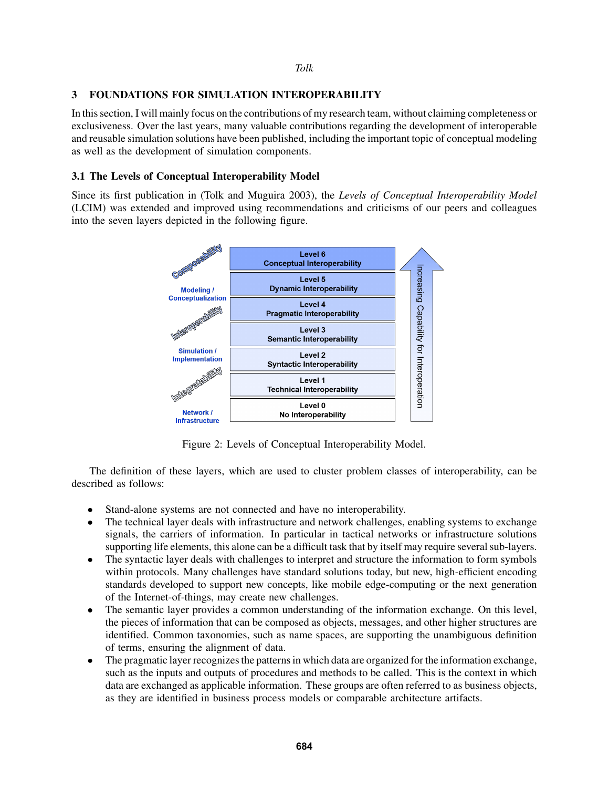## *Tolk*

# 3 FOUNDATIONS FOR SIMULATION INTEROPERABILITY

In this section, I will mainly focus on the contributions of my research team, without claiming completeness or exclusiveness. Over the last years, many valuable contributions regarding the development of interoperable and reusable simulation solutions have been published, including the important topic of conceptual modeling as well as the development of simulation components.

# 3.1 The Levels of Conceptual Interoperability Model

Since its first publication in (Tolk and Muguira 2003), the *Levels of Conceptual Interoperability Model* (LCIM) was extended and improved using recommendations and criticisms of our peers and colleagues into the seven layers depicted in the following figure.



Figure 2: Levels of Conceptual Interoperability Model.

The definition of these layers, which are used to cluster problem classes of interoperability, can be described as follows:

- Stand-alone systems are not connected and have no interoperability.
- The technical layer deals with infrastructure and network challenges, enabling systems to exchange signals, the carriers of information. In particular in tactical networks or infrastructure solutions supporting life elements, this alone can be a difficult task that by itself may require several sub-layers.
- The syntactic layer deals with challenges to interpret and structure the information to form symbols within protocols. Many challenges have standard solutions today, but new, high-efficient encoding standards developed to support new concepts, like mobile edge-computing or the next generation of the Internet-of-things, may create new challenges.
- The semantic layer provides a common understanding of the information exchange. On this level, the pieces of information that can be composed as objects, messages, and other higher structures are identified. Common taxonomies, such as name spaces, are supporting the unambiguous definition of terms, ensuring the alignment of data.
- The pragmatic layer recognizes the patterns in which data are organized for the information exchange, such as the inputs and outputs of procedures and methods to be called. This is the context in which data are exchanged as applicable information. These groups are often referred to as business objects, as they are identified in business process models or comparable architecture artifacts.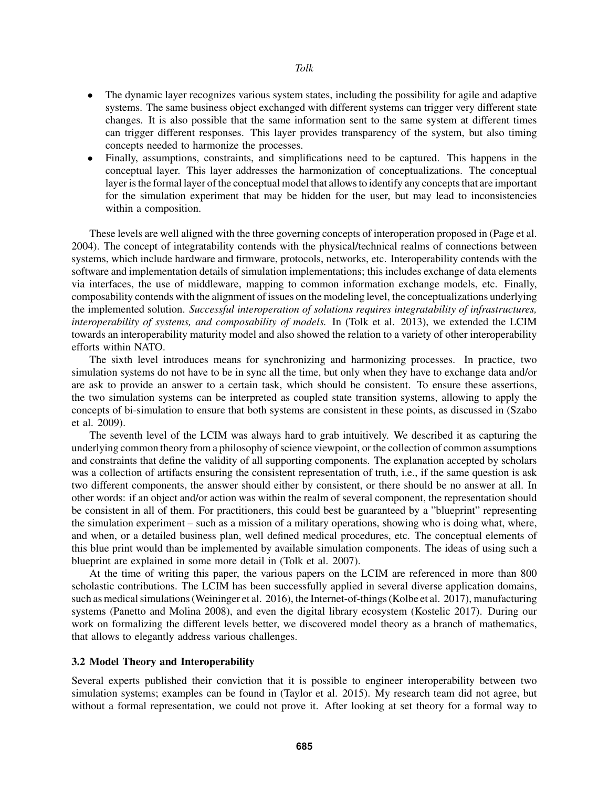## *Tolk*

- The dynamic layer recognizes various system states, including the possibility for agile and adaptive systems. The same business object exchanged with different systems can trigger very different state changes. It is also possible that the same information sent to the same system at different times can trigger different responses. This layer provides transparency of the system, but also timing concepts needed to harmonize the processes.
- Finally, assumptions, constraints, and simplifications need to be captured. This happens in the conceptual layer. This layer addresses the harmonization of conceptualizations. The conceptual layer is the formal layer of the conceptual model that allows to identify any concepts that are important for the simulation experiment that may be hidden for the user, but may lead to inconsistencies within a composition.

These levels are well aligned with the three governing concepts of interoperation proposed in (Page et al. 2004). The concept of integratability contends with the physical/technical realms of connections between systems, which include hardware and firmware, protocols, networks, etc. Interoperability contends with the software and implementation details of simulation implementations; this includes exchange of data elements via interfaces, the use of middleware, mapping to common information exchange models, etc. Finally, composability contends with the alignment of issues on the modeling level, the conceptualizations underlying the implemented solution. *Successful interoperation of solutions requires integratability of infrastructures, interoperability of systems, and composability of models.* In (Tolk et al. 2013), we extended the LCIM towards an interoperability maturity model and also showed the relation to a variety of other interoperability efforts within NATO.

The sixth level introduces means for synchronizing and harmonizing processes. In practice, two simulation systems do not have to be in sync all the time, but only when they have to exchange data and/or are ask to provide an answer to a certain task, which should be consistent. To ensure these assertions, the two simulation systems can be interpreted as coupled state transition systems, allowing to apply the concepts of bi-simulation to ensure that both systems are consistent in these points, as discussed in (Szabo et al. 2009).

The seventh level of the LCIM was always hard to grab intuitively. We described it as capturing the underlying common theory from a philosophy of science viewpoint, or the collection of common assumptions and constraints that define the validity of all supporting components. The explanation accepted by scholars was a collection of artifacts ensuring the consistent representation of truth, i.e., if the same question is ask two different components, the answer should either by consistent, or there should be no answer at all. In other words: if an object and/or action was within the realm of several component, the representation should be consistent in all of them. For practitioners, this could best be guaranteed by a "blueprint" representing the simulation experiment – such as a mission of a military operations, showing who is doing what, where, and when, or a detailed business plan, well defined medical procedures, etc. The conceptual elements of this blue print would than be implemented by available simulation components. The ideas of using such a blueprint are explained in some more detail in (Tolk et al. 2007).

At the time of writing this paper, the various papers on the LCIM are referenced in more than 800 scholastic contributions. The LCIM has been successfully applied in several diverse application domains, such as medical simulations (Weininger et al. 2016), the Internet-of-things (Kolbe et al. 2017), manufacturing systems (Panetto and Molina 2008), and even the digital library ecosystem (Kostelic 2017). During our work on formalizing the different levels better, we discovered model theory as a branch of mathematics, that allows to elegantly address various challenges.

# 3.2 Model Theory and Interoperability

Several experts published their conviction that it is possible to engineer interoperability between two simulation systems; examples can be found in (Taylor et al. 2015). My research team did not agree, but without a formal representation, we could not prove it. After looking at set theory for a formal way to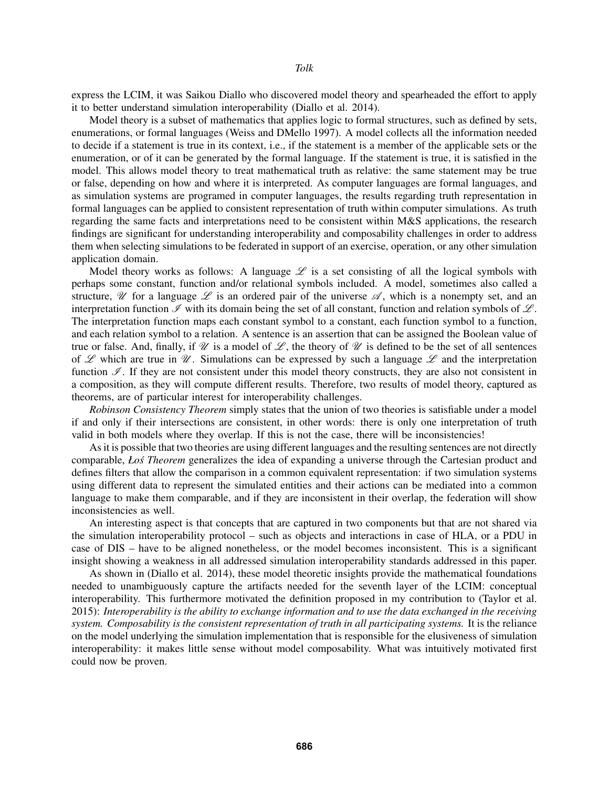express the LCIM, it was Saikou Diallo who discovered model theory and spearheaded the effort to apply it to better understand simulation interoperability (Diallo et al. 2014).

Model theory is a subset of mathematics that applies logic to formal structures, such as defined by sets, enumerations, or formal languages (Weiss and DMello 1997). A model collects all the information needed to decide if a statement is true in its context, i.e., if the statement is a member of the applicable sets or the enumeration, or of it can be generated by the formal language. If the statement is true, it is satisfied in the model. This allows model theory to treat mathematical truth as relative: the same statement may be true or false, depending on how and where it is interpreted. As computer languages are formal languages, and as simulation systems are programed in computer languages, the results regarding truth representation in formal languages can be applied to consistent representation of truth within computer simulations. As truth regarding the same facts and interpretations need to be consistent within M&S applications, the research findings are significant for understanding interoperability and composability challenges in order to address them when selecting simulations to be federated in support of an exercise, operation, or any other simulation application domain.

Model theory works as follows: A language  $\mathscr L$  is a set consisting of all the logical symbols with perhaps some constant, function and/or relational symbols included. A model, sometimes also called a structure,  $\mathscr U$  for a language  $\mathscr L$  is an ordered pair of the universe  $\mathscr A$ , which is a nonempty set, and an interpretation function  $\mathcal I$  with its domain being the set of all constant, function and relation symbols of  $\mathcal L$ . The interpretation function maps each constant symbol to a constant, each function symbol to a function, and each relation symbol to a relation. A sentence is an assertion that can be assigned the Boolean value of true or false. And, finally, if  $\mathcal U$  is a model of  $\mathcal L$ , the theory of  $\mathcal U$  is defined to be the set of all sentences of L which are true in  $\mathcal{U}$ . Simulations can be expressed by such a language L and the interpretation function  $\mathscr I$ . If they are not consistent under this model theory constructs, they are also not consistent in a composition, as they will compute different results. Therefore, two results of model theory, captured as theorems, are of particular interest for interoperability challenges.

*Robinson Consistency Theorem* simply states that the union of two theories is satisfiable under a model if and only if their intersections are consistent, in other words: there is only one interpretation of truth valid in both models where they overlap. If this is not the case, there will be inconsistencies!

As it is possible that two theories are using different languages and the resulting sentences are not directly comparable, *Łoś Theorem* generalizes the idea of expanding a universe through the Cartesian product and defines filters that allow the comparison in a common equivalent representation: if two simulation systems using different data to represent the simulated entities and their actions can be mediated into a common language to make them comparable, and if they are inconsistent in their overlap, the federation will show inconsistencies as well.

An interesting aspect is that concepts that are captured in two components but that are not shared via the simulation interoperability protocol – such as objects and interactions in case of HLA, or a PDU in case of DIS – have to be aligned nonetheless, or the model becomes inconsistent. This is a significant insight showing a weakness in all addressed simulation interoperability standards addressed in this paper.

As shown in (Diallo et al. 2014), these model theoretic insights provide the mathematical foundations needed to unambiguously capture the artifacts needed for the seventh layer of the LCIM: conceptual interoperability. This furthermore motivated the definition proposed in my contribution to (Taylor et al. 2015): *Interoperability is the ability to exchange information and to use the data exchanged in the receiving system. Composability is the consistent representation of truth in all participating systems.* It is the reliance on the model underlying the simulation implementation that is responsible for the elusiveness of simulation interoperability: it makes little sense without model composability. What was intuitively motivated first could now be proven.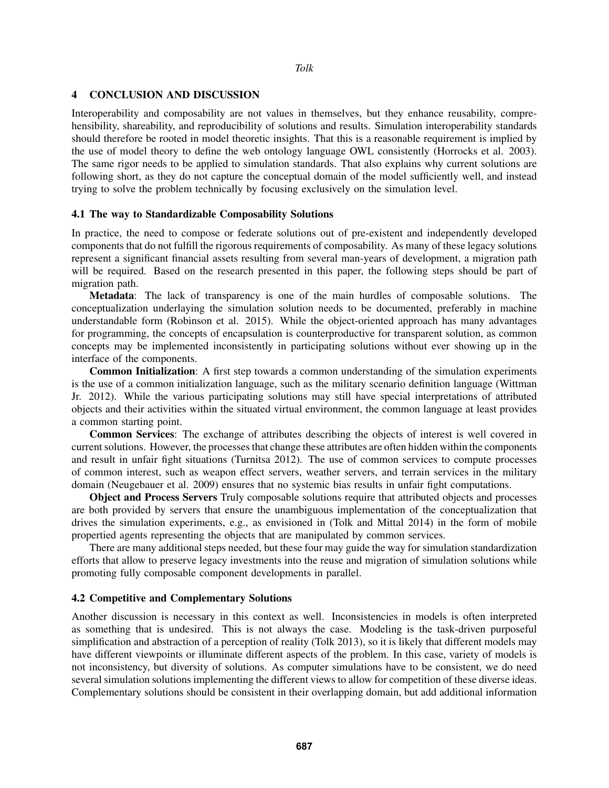## 4 CONCLUSION AND DISCUSSION

Interoperability and composability are not values in themselves, but they enhance reusability, comprehensibility, shareability, and reproducibility of solutions and results. Simulation interoperability standards should therefore be rooted in model theoretic insights. That this is a reasonable requirement is implied by the use of model theory to define the web ontology language OWL consistently (Horrocks et al. 2003). The same rigor needs to be applied to simulation standards. That also explains why current solutions are following short, as they do not capture the conceptual domain of the model sufficiently well, and instead trying to solve the problem technically by focusing exclusively on the simulation level.

## 4.1 The way to Standardizable Composability Solutions

In practice, the need to compose or federate solutions out of pre-existent and independently developed components that do not fulfill the rigorous requirements of composability. As many of these legacy solutions represent a significant financial assets resulting from several man-years of development, a migration path will be required. Based on the research presented in this paper, the following steps should be part of migration path.

Metadata: The lack of transparency is one of the main hurdles of composable solutions. The conceptualization underlaying the simulation solution needs to be documented, preferably in machine understandable form (Robinson et al. 2015). While the object-oriented approach has many advantages for programming, the concepts of encapsulation is counterproductive for transparent solution, as common concepts may be implemented inconsistently in participating solutions without ever showing up in the interface of the components.

Common Initialization: A first step towards a common understanding of the simulation experiments is the use of a common initialization language, such as the military scenario definition language (Wittman Jr. 2012). While the various participating solutions may still have special interpretations of attributed objects and their activities within the situated virtual environment, the common language at least provides a common starting point.

Common Services: The exchange of attributes describing the objects of interest is well covered in current solutions. However, the processes that change these attributes are often hidden within the components and result in unfair fight situations (Turnitsa 2012). The use of common services to compute processes of common interest, such as weapon effect servers, weather servers, and terrain services in the military domain (Neugebauer et al. 2009) ensures that no systemic bias results in unfair fight computations.

Object and Process Servers Truly composable solutions require that attributed objects and processes are both provided by servers that ensure the unambiguous implementation of the conceptualization that drives the simulation experiments, e.g., as envisioned in (Tolk and Mittal 2014) in the form of mobile propertied agents representing the objects that are manipulated by common services.

There are many additional steps needed, but these four may guide the way for simulation standardization efforts that allow to preserve legacy investments into the reuse and migration of simulation solutions while promoting fully composable component developments in parallel.

## 4.2 Competitive and Complementary Solutions

Another discussion is necessary in this context as well. Inconsistencies in models is often interpreted as something that is undesired. This is not always the case. Modeling is the task-driven purposeful simplification and abstraction of a perception of reality (Tolk 2013), so it is likely that different models may have different viewpoints or illuminate different aspects of the problem. In this case, variety of models is not inconsistency, but diversity of solutions. As computer simulations have to be consistent, we do need several simulation solutions implementing the different views to allow for competition of these diverse ideas. Complementary solutions should be consistent in their overlapping domain, but add additional information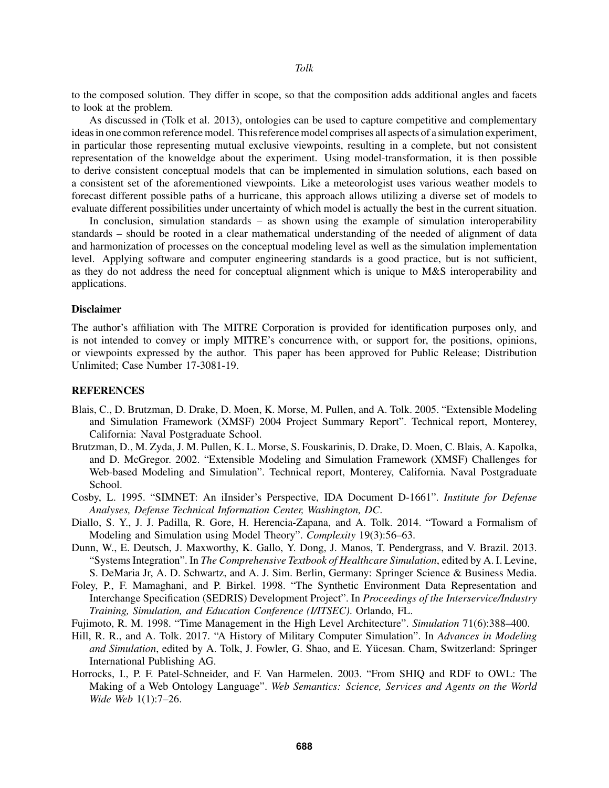to the composed solution. They differ in scope, so that the composition adds additional angles and facets to look at the problem.

As discussed in (Tolk et al. 2013), ontologies can be used to capture competitive and complementary ideas in one common reference model. This reference model comprises all aspects of a simulation experiment, in particular those representing mutual exclusive viewpoints, resulting in a complete, but not consistent representation of the knoweldge about the experiment. Using model-transformation, it is then possible to derive consistent conceptual models that can be implemented in simulation solutions, each based on a consistent set of the aforementioned viewpoints. Like a meteorologist uses various weather models to forecast different possible paths of a hurricane, this approach allows utilizing a diverse set of models to evaluate different possibilities under uncertainty of which model is actually the best in the current situation.

In conclusion, simulation standards – as shown using the example of simulation interoperability standards – should be rooted in a clear mathematical understanding of the needed of alignment of data and harmonization of processes on the conceptual modeling level as well as the simulation implementation level. Applying software and computer engineering standards is a good practice, but is not sufficient, as they do not address the need for conceptual alignment which is unique to M&S interoperability and applications.

#### Disclaimer

The author's affiliation with The MITRE Corporation is provided for identification purposes only, and is not intended to convey or imply MITRE's concurrence with, or support for, the positions, opinions, or viewpoints expressed by the author. This paper has been approved for Public Release; Distribution Unlimited; Case Number 17-3081-19.

## **REFERENCES**

- Blais, C., D. Brutzman, D. Drake, D. Moen, K. Morse, M. Pullen, and A. Tolk. 2005. "Extensible Modeling and Simulation Framework (XMSF) 2004 Project Summary Report". Technical report, Monterey, California: Naval Postgraduate School.
- Brutzman, D., M. Zyda, J. M. Pullen, K. L. Morse, S. Fouskarinis, D. Drake, D. Moen, C. Blais, A. Kapolka, and D. McGregor. 2002. "Extensible Modeling and Simulation Framework (XMSF) Challenges for Web-based Modeling and Simulation". Technical report, Monterey, California. Naval Postgraduate School.
- Cosby, L. 1995. "SIMNET: An iInsider's Perspective, IDA Document D-1661". *Institute for Defense Analyses, Defense Technical Information Center, Washington, DC*.
- Diallo, S. Y., J. J. Padilla, R. Gore, H. Herencia-Zapana, and A. Tolk. 2014. "Toward a Formalism of Modeling and Simulation using Model Theory". *Complexity* 19(3):56–63.
- Dunn, W., E. Deutsch, J. Maxworthy, K. Gallo, Y. Dong, J. Manos, T. Pendergrass, and V. Brazil. 2013. "Systems Integration". In *The Comprehensive Textbook of Healthcare Simulation*, edited by A. I. Levine, S. DeMaria Jr, A. D. Schwartz, and A. J. Sim. Berlin, Germany: Springer Science & Business Media.
- Foley, P., F. Mamaghani, and P. Birkel. 1998. "The Synthetic Environment Data Representation and Interchange Specification (SEDRIS) Development Project". In *Proceedings of the Interservice/Industry Training, Simulation, and Education Conference (I/ITSEC)*. Orlando, FL.
- Fujimoto, R. M. 1998. "Time Management in the High Level Architecture". *Simulation* 71(6):388–400.
- Hill, R. R., and A. Tolk. 2017. "A History of Military Computer Simulation". In *Advances in Modeling and Simulation*, edited by A. Tolk, J. Fowler, G. Shao, and E. Yucesan. Cham, Switzerland: Springer ¨ International Publishing AG.
- Horrocks, I., P. F. Patel-Schneider, and F. Van Harmelen. 2003. "From SHIQ and RDF to OWL: The Making of a Web Ontology Language". *Web Semantics: Science, Services and Agents on the World Wide Web* 1(1):7–26.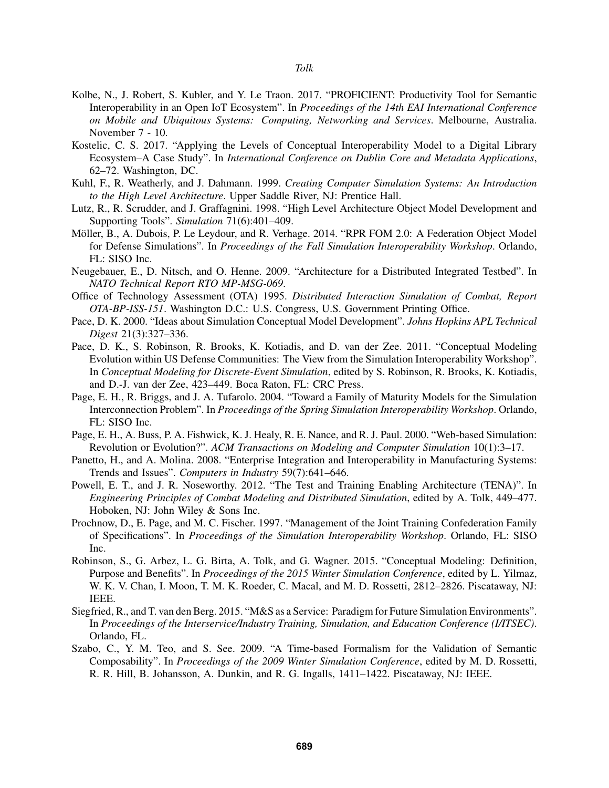- Kolbe, N., J. Robert, S. Kubler, and Y. Le Traon. 2017. "PROFICIENT: Productivity Tool for Semantic Interoperability in an Open IoT Ecosystem". In *Proceedings of the 14th EAI International Conference on Mobile and Ubiquitous Systems: Computing, Networking and Services*. Melbourne, Australia. November 7 - 10.
- Kostelic, C. S. 2017. "Applying the Levels of Conceptual Interoperability Model to a Digital Library Ecosystem–A Case Study". In *International Conference on Dublin Core and Metadata Applications*, 62–72. Washington, DC.
- Kuhl, F., R. Weatherly, and J. Dahmann. 1999. *Creating Computer Simulation Systems: An Introduction to the High Level Architecture*. Upper Saddle River, NJ: Prentice Hall.
- Lutz, R., R. Scrudder, and J. Graffagnini. 1998. "High Level Architecture Object Model Development and Supporting Tools". *Simulation* 71(6):401–409.
- Möller, B., A. Dubois, P. Le Leydour, and R. Verhage. 2014. "RPR FOM 2.0: A Federation Object Model for Defense Simulations". In *Proceedings of the Fall Simulation Interoperability Workshop*. Orlando, FL: SISO Inc.
- Neugebauer, E., D. Nitsch, and O. Henne. 2009. "Architecture for a Distributed Integrated Testbed". In *NATO Technical Report RTO MP-MSG-069*.
- Office of Technology Assessment (OTA) 1995. *Distributed Interaction Simulation of Combat, Report OTA-BP-ISS-151*. Washington D.C.: U.S. Congress, U.S. Government Printing Office.
- Pace, D. K. 2000. "Ideas about Simulation Conceptual Model Development". *Johns Hopkins APL Technical Digest* 21(3):327–336.
- Pace, D. K., S. Robinson, R. Brooks, K. Kotiadis, and D. van der Zee. 2011. "Conceptual Modeling Evolution within US Defense Communities: The View from the Simulation Interoperability Workshop". In *Conceptual Modeling for Discrete-Event Simulation*, edited by S. Robinson, R. Brooks, K. Kotiadis, and D.-J. van der Zee, 423–449. Boca Raton, FL: CRC Press.
- Page, E. H., R. Briggs, and J. A. Tufarolo. 2004. "Toward a Family of Maturity Models for the Simulation Interconnection Problem". In *Proceedings of the Spring Simulation Interoperability Workshop*. Orlando, FL: SISO Inc.
- Page, E. H., A. Buss, P. A. Fishwick, K. J. Healy, R. E. Nance, and R. J. Paul. 2000. "Web-based Simulation: Revolution or Evolution?". *ACM Transactions on Modeling and Computer Simulation* 10(1):3–17.
- Panetto, H., and A. Molina. 2008. "Enterprise Integration and Interoperability in Manufacturing Systems: Trends and Issues". *Computers in Industry* 59(7):641–646.
- Powell, E. T., and J. R. Noseworthy. 2012. "The Test and Training Enabling Architecture (TENA)". In *Engineering Principles of Combat Modeling and Distributed Simulation*, edited by A. Tolk, 449–477. Hoboken, NJ: John Wiley & Sons Inc.
- Prochnow, D., E. Page, and M. C. Fischer. 1997. "Management of the Joint Training Confederation Family of Specifications". In *Proceedings of the Simulation Interoperability Workshop*. Orlando, FL: SISO Inc.
- Robinson, S., G. Arbez, L. G. Birta, A. Tolk, and G. Wagner. 2015. "Conceptual Modeling: Definition, Purpose and Benefits". In *Proceedings of the 2015 Winter Simulation Conference*, edited by L. Yilmaz, W. K. V. Chan, I. Moon, T. M. K. Roeder, C. Macal, and M. D. Rossetti, 2812–2826. Piscataway, NJ: IEEE.
- Siegfried, R., and T. van den Berg. 2015. "M&S as a Service: Paradigm for Future Simulation Environments". In *Proceedings of the Interservice/Industry Training, Simulation, and Education Conference (I/ITSEC)*. Orlando, FL.
- Szabo, C., Y. M. Teo, and S. See. 2009. "A Time-based Formalism for the Validation of Semantic Composability". In *Proceedings of the 2009 Winter Simulation Conference*, edited by M. D. Rossetti, R. R. Hill, B. Johansson, A. Dunkin, and R. G. Ingalls, 1411–1422. Piscataway, NJ: IEEE.